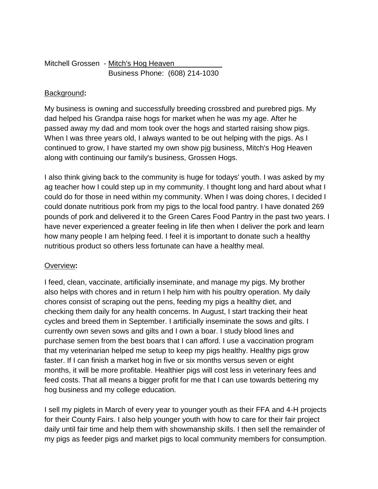# Mitchell Grossen - Mitch's Hog Heaven Business Phone: (608) 214-1030

# Background**:**

My business is owning and successfully breeding crossbred and purebred pigs. My dad helped his Grandpa raise hogs for market when he was my age. After he passed away my dad and mom took over the hogs and started raising show pigs. When I was three years old, I always wanted to be out helping with the pigs. As I continued to grow, I have started my own show pig business, Mitch's Hog Heaven along with continuing our family's business, Grossen Hogs.

I also think giving back to the community is huge for todays' youth. I was asked by my ag teacher how I could step up in my community. I thought long and hard about what I could do for those in need within my community. When I was doing chores, I decided I could donate nutritious pork from my pigs to the local food pantry. I have donated 269 pounds of pork and delivered it to the Green Cares Food Pantry in the past two years. I have never experienced a greater feeling in life then when I deliver the pork and learn how many people I am helping feed. I feel it is important to donate such a healthy nutritious product so others less fortunate can have a healthy meal.

#### Overview**:**

I feed, clean, vaccinate, artificially inseminate, and manage my pigs. My brother also helps with chores and in return I help him with his poultry operation. My daily chores consist of scraping out the pens, feeding my pigs a healthy diet, and checking them daily for any health concerns. In August, I start tracking their heat cycles and breed them in September. I artificially inseminate the sows and gilts. I currently own seven sows and gilts and I own a boar. I study blood lines and purchase semen from the best boars that I can afford. I use a vaccination program that my veterinarian helped me setup to keep my pigs healthy. Healthy pigs grow faster. If I can finish a market hog in five or six months versus seven or eight months, it will be more profitable. Healthier pigs will cost less in veterinary fees and feed costs. That all means a bigger profit for me that I can use towards bettering my hog business and my college education.

I sell my piglets in March of every year to younger youth as their FFA and 4-H projects for their County Fairs. I also help younger youth with how to care for their fair project daily until fair time and help them with showmanship skills. I then sell the remainder of my pigs as feeder pigs and market pigs to local community members for consumption.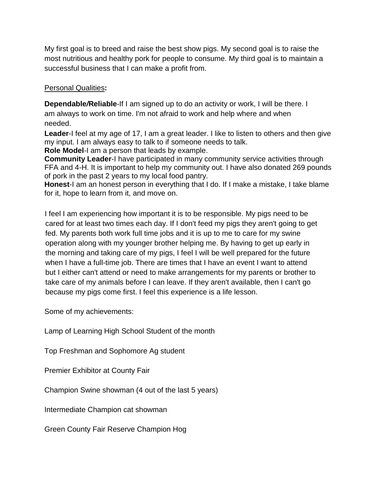My first goal is to breed and raise the best show pigs. My second goal is to raise the most nutritious and healthy pork for people to consume. My third goal is to maintain a successful business that I can make a profit from.

## Personal Qualities**:**

**Dependable***/***Reliable**-If I am signed up to do an activity or work, I will be there. I am always to work on time. I'm not afraid to work and help where and when needed.

**Leader**-I feel at my age of 17, I am a great leader. I like to listen to others and then give my input. I am always easy to talk to if someone needs to talk.

**Role Model**-I am a person that leads by example.

**Community Leader**-I have participated in many community service activities through FFA and 4-H. It is important to help my community out. I have also donated 269 pounds of pork in the past 2 years to my local food pantry.

**Honest**-I am an honest person in everything that I do. If I make a mistake, I take blame for it, hope to learn from it, and move on.

I feel I am experiencing how important it is to be responsible. My pigs need to be cared for at least two times each day. If I don't feed my pigs they aren't going to get fed. My parents both work full time jobs and it is up to me to care for my swine operation along with my younger brother helping me. By having to get up early in the morning and taking care of my pigs, I feel I will be well prepared for the future when I have a full-time job. There are times that I have an event I want to attend but I either can't attend or need to make arrangements for my parents or brother to take care of my animals before I can leave. If they aren't available, then I can't go because my pigs come first. I feel this experience is a life lesson.

Some of my achievements:

Lamp of Learning High School Student of the month

Top Freshman and Sophomore Ag student

Premier Exhibitor at County Fair

Champion Swine showman (4 out of the last 5 years)

Intermediate Champion cat showman

Green County Fair Reserve Champion Hog